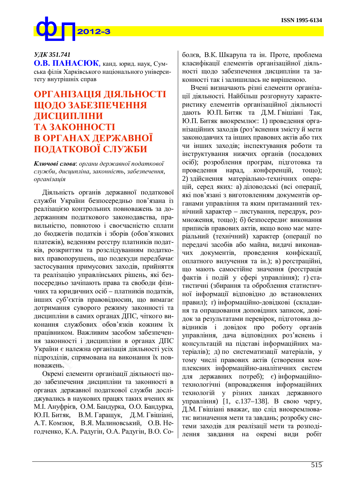

## *ɍȾɄ 351.741*

**О.В. ПАНАСЮК.** канд. юрид. наук. Сумська філія Харківського національного університету внутрішніх справ

## **ОРГАНІЗАЦІЯ ДІЯЛЬНОСТІ ШОДО ЗАБЕЗПЕЧЕННЯ ȾɂɋɐɂɉɅȱɇɂ TA 3AKOHHOCTI В ОРГАНАХ ДЕРЖАВНОЇ** ПОДАТКОВОЇ СЛУЖБИ

**Ключові слова**: органи державної податкової служби, дисципліна, законність, забезпечення, *я* 

Діяльність органів державної податкової служби України безпосередньо пов'язана із реалізацією контрольних повноважень за додержанням податкового законодавства, правильністю, повнотою і своєчасністю сплати до бюджетів податків і зборів (обов'язкових платежів), веденням реєстру платників податків, розкриттям та розслідуванням податкових правопорушень, що подекуди передбачає застосування примусових заходів, прийняття та реалізацію управлінських рішень, які безпосередньо зачіпають права та свободи фізичних та юридичних осіб – платників податків, інших суб'єктів правовідносин, що вимагає дотримання суворого режиму законності та дисципліни в самих органах ДПС, чіткого виконання службових обов'язків кожним їх працівником. Важливим засобом забезпечення законності і дисципліни в органах ДПС України є належна організація діяльності усіх підрозділів, спрямована на виконання їх повноважень.

Окремі елементи організації діяльності щодо забезпечення дисципліни та законності в органах державної податкової служби досліджувались в наукових працях таких вчених як М. І. Ануфрієв, О.М. Бандурка, О.О. Бандурка, Ю.П. Битяк, В.М. Гаращук, Д.М. Гвішіані, А.Т. Комзюк, В.Я. Малиновський, О.В. Негодченко, К.А. Радугін, О.А. Радугін, В.О. Со-

болєв, В.К. Шкарупа та ін. Проте, проблема класифікації елементів організаційної діяльності шоло забезпечення лисципліни та законності так і залишилась не вирішеною.

Вчені визначають різні елементи організації діяльності. Найбільш розгорнуту характеристику елементів організаційної діяльності дають Ю.П. Битяк та Д.М. Гвішіані Так, Ю.П. Битяк виокремлює: 1) проведення організаційних заходів (роз'яснення змісту й мети законодавчих та інших правових актів або тих чи інших заходів; інспектування роботи та інструктування нижчих органів (посадових осіб); розроблення програм, підготовка та проведення нарад, конференцій, тощо); 2) здійснення матеріально-технічних операцій, серед яких: а) діловодські (всі операції, які пов'язані з виготовленням документів органами управління та яким притаманний технічний характер – листування, передрук, розмноження, тощо); б) безпосереднє виконання приписів правових актів, якщо воно має матеріальний (технічний) характер (операції по передачі засобів або майна, видачі виконавчих документів, проведення конфіскації, оплатного вилучення та ін.); в) реєстраційні, що мають самостійне значення (реєстрація фактів і подій у сфері управління); г) статистичні (збирання та оброблення статистичної інформації відповідно до встановлених правил); г) інформаційно-довідкові (складання та опрацювання доповідних записок, довідок за результатами перевірок, підготовка довідників і довідок про роботу органів управління, дача відповідних роз'яснень і консультацій на підставі інформаційних матеріалів); д) по систематизації матеріалів, у тому числі правових актів (створення комплексних інформаційно-аналітичних систем  $\mu$ ля державних потреб); є) інформаційнотехнологічні (впровадження інформаційних технологій у різних ланках державного управління) [1, с.137–138]. В свою чергу, Д.М. Гвішіані вважає, що слід виокремлювати: визначення мети та завдань; розробку системи заходів для реалізації мети та розподілення завдання на окремі види робіт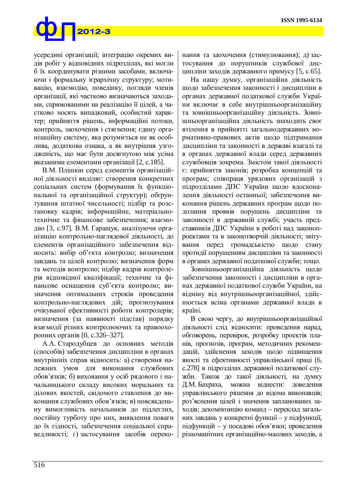

усередині організації; інтеграцію окремих видів робіт у відповідних підрозділах, які могли б їх координувати різними засобами, включаючи і формальну ієрархічну структуру; мотивацію, взаємодію, поведінку, погляди членів організації, які частково визначаються заходами, спрямованими на реалізацію її цілей, а частково носять випадковий, особистий характер; прийняття рішень, інформаційні потоки, контроль, заохочення і стягнення; єдину організаційну систему, яка розуміється не як особлива, додаткова ознака, а як внутрішня узгодженість, що має бути досягнутою між усіма вказаними елементами організації [2, с.185].

В.М. Плішкін серед елементів організаційної діяльності виділяє: створення конкретних соціальних систем (формування їх функціональної та організаційної структур); обгрунтування штатної чисельності; підбір та розстановку кадрів; інформаційне, матеріальнотехнічне та фінансове забезпечення; взаємодію [3, с.97]. В.М. Гаращук, аналізуючи організацію контрольно-наглядової діяльності, до елементів організаційного забезпечення відносить: вибір об'єкта контролю; визначення завдань та цілей контролю; визначення форм та методів контролю; підбір кадрів контролерів відповідної кваліфікації; технічне та фінансове оснащення суб'єкта контролю; визначення оптимальних строків проведення контрольно-наглядових дій; прогнозування очікуваної ефективності роботи контролерів; визначення (за наявності підстав) порядку взаємодії різних контролюючих та правоохоронних органів [0, с.326–327].

А.А. Стародубцев до основних методів (способів) забезпечення дисципліни в органах внутрішніх справ відносить: а) створення належних умов для виконання службових обов'язків; б) виховання у осіб рядового і начальницького складу високих моральних та ділових якостей, свідомого ставлення до виконання службових обов'язків; в) повсякденьну вимогливість начальників до підлеглих, постійну турботу про них, виявлення поваги до їх гідності, забезпечення соціальної справедливості; г) застосування засобів переко-

нання та заохочення (стимулювання); д) застосування до порушників службової дисципліни заходів державного примусу [5, с.65].

На нашу думку, організаційна діяльність щодо забезпечення законності і дисципліни в органах державної податкової служби України включає в себе внутрішньоорганізаційну та зовнішньоорганізаційну діяльність. Зовнішньоорганізаційна діяльність знаходить своє втілення в прийнятті загальнодержавних нормативно-правових актів щодо підтримання дисципліни та законності в державі взагалі та в органах державної влади серед державних службовців зокрема. Змістом такої діяльності є: прийняття законів; розробка концепцій та програм; співпраця урядових організацій з підрозділами ДПС України щодо вдосконалення діяльності останньої; забезпечення виконання рішень державних програм щодо подолання проявів порушень дисципліни та законності в державній службі; участь представників ДПС України в роботі над законопроектами та в законотворчій діяльності; звітування перед громадськістю щодо стану протидії порушенням дисципліни та законності в органах державної податкової служби; тощо.

Зовнішньоорганізаційна діяльність щодо забезпечення законності і дисципліни в органах державної податкової служби України, на відміну від внутрішньоорганізаційної, здійснюється всіма органами державної влади в країні.

В свою чергу, до внутрішньоорганізаційної діяльності слід відносити: проведення нарад, обговорень, перевірок, розробку проектів планів, прогнозів, програм, методичних рекомендацій, здійснення заходів щодо підвищення якості та ефективності управлінської праці [6, с.278] в підрозділах державної податкової служби. Також до такої діяльності, на думку Д.М. Бахраха, можна віднести: доведення управлінського рішення до відома виконавців; роз'яснення цілей і значення запланованих заходів; декомпозицію команд – переклад загальних завдань у конкретні функції – у підфункції, підфункцій – у посадові обов'язки; проведення різноманітних організаційно-масових заходів, а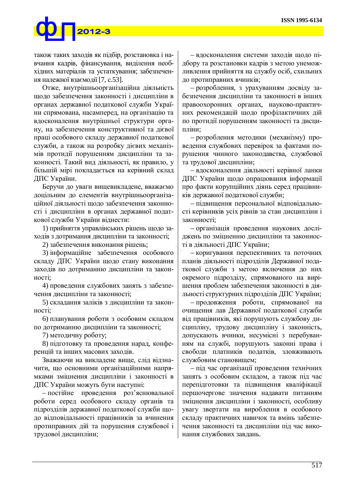

також таких заходів як підбір, розстановка і навчання кадрів, фінансування, виділення необхідних матеріалів та устаткування; забезпечення належної взаємодії [7, с.53].

Отже, внутрішньоорганізаційна діяльність щодо забезпечення законності і дисципліни в органах державної податкової служби України спрямована, насамперед, на організацію та вдосконалення внутрішньої структури органу, на забезпечення конструктивної та дієвої праці особового складу державної податкової служби, а також на розробку дієвих механізмів протидії порушенням дисципліни та законності. Такий вид діяльності, як правило, у більшій мірі покладається на керівний склад ДПС України.

Беручи до уваги вищевикладене, вважаємо доцільним до елементів внутрішньоорганізаційної діяльності щодо забезпечення законності і дисципліни в органах державної податкової служби України віднести:

1) прийняття управлінських рішень щодо заходів з дотримання дисципліни та законності;

2) забезпечення виконання рішень;

3) інформаційне забезпечення особового складу ДПС України щодо стану виконання заходів по дотриманню дисципліни та закон-HOCTI;

4) проведення службових занять з забезпечення дисципліни та законності;

5) складання заліків з дисципліни та закон-HOCTI:

6) планування роботи з особовим складом по дотриманню дисципліни та законності;

7) методичну роботу;

8) підготовку та проведення нарад, конференцій та інших масових заходів.

Зважаючи на викладене вище, слід відзначити, що основними організаційними напрямками зміцнення дисципліни і законності в ДПС України можуть бути наступні:

– постійне проведення роз'яснювальної роботи серед особового складу органів та підрозділів державної податкової служби щодо відповідальності працівників за вчинення протиправних дій та порушення службової і трудової дисципліни;

- вдосконалення системи заходів щодо підбору та розстановки кадрів з метою унеможливлення прийняття на службу осіб, схильних до протиправних вчинків;

- розроблення, з урахуванням досвіду забезпечення дисципліни та законності в інших правоохоронних органах, науково-практичних рекомендацій щодо профілактичних дій по протидії порушенням законності та дисципліни:

- розроблення методики (механізму) проведення службових перевірок за фактами порушення чинного законодавства, службової та трудової дисципліни;

- вдосконалення діяльності керівної ланки ДПС України щодо опрацювання інформації про факти корупційних діянь серед працівників державної податкової служби;

- підвищення персональної відповідальності керівників усіх рівнів за стан дисципліни і законності;

- організація проведення наукових досліджень по зміцненню дисципліни та законності в діяльності ДПС України;

- коригування перспективних та поточних планів діяльності підрозділів Державної податкової служби з метою включення до них окремого підрозділу, спрямованого на вирішення проблем забезпечення законності в діяльності структурних підрозділів ДПС України;

- продовження роботи, спрямованої на очищення лав Державної податкової служби від працівників, які порушують службову дисципліну, трудову дисципліну і законність, допускають вчинки, несумісні з перебуванням на службі, порушують законні права і своболи платників полатків, зловживають службовим становищем;

– під час організації проведення технічних занять з особовим складом, а також під час перепідготовки та підвищення кваліфікації першочергове значення надавати питанням зміцнення дисципліни і законності, особливу увагу звертати на вироблення в особового складу практичних навичок та вмінь забезпечення законності та дисципліни під час виконання службових завдань.